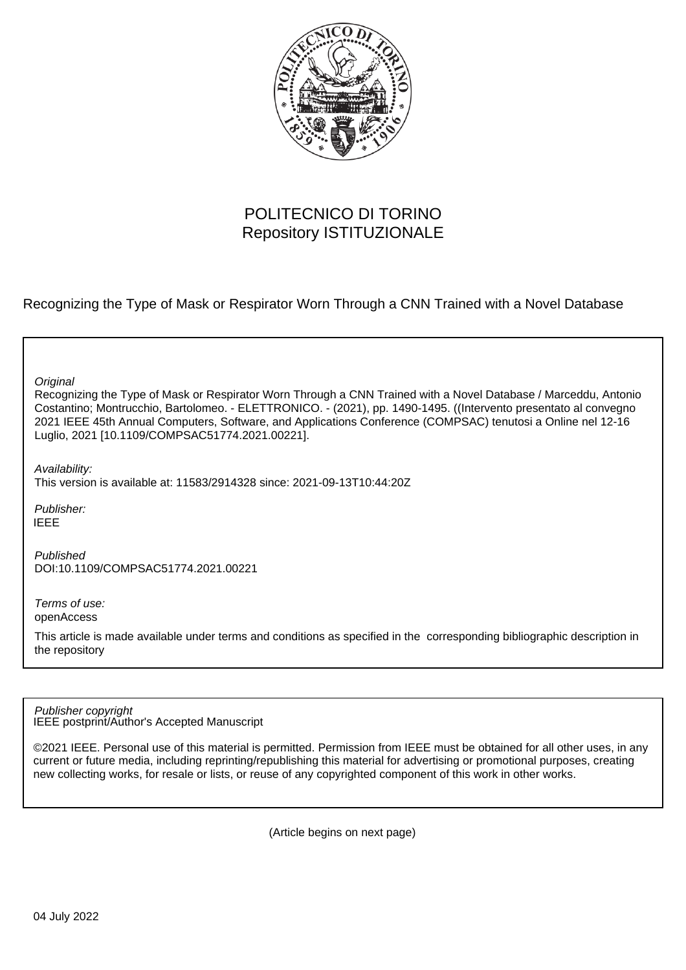

# POLITECNICO DI TORINO Repository ISTITUZIONALE

Recognizing the Type of Mask or Respirator Worn Through a CNN Trained with a Novel Database

**Original** 

Recognizing the Type of Mask or Respirator Worn Through a CNN Trained with a Novel Database / Marceddu, Antonio Costantino; Montrucchio, Bartolomeo. - ELETTRONICO. - (2021), pp. 1490-1495. ((Intervento presentato al convegno 2021 IEEE 45th Annual Computers, Software, and Applications Conference (COMPSAC) tenutosi a Online nel 12-16 Luglio, 2021 [10.1109/COMPSAC51774.2021.00221].

Availability:

This version is available at: 11583/2914328 since: 2021-09-13T10:44:20Z

Publisher: IEEE

Published DOI:10.1109/COMPSAC51774.2021.00221

Terms of use: openAccess

This article is made available under terms and conditions as specified in the corresponding bibliographic description in the repository

IEEE postprint/Author's Accepted Manuscript Publisher copyright

©2021 IEEE. Personal use of this material is permitted. Permission from IEEE must be obtained for all other uses, in any current or future media, including reprinting/republishing this material for advertising or promotional purposes, creating new collecting works, for resale or lists, or reuse of any copyrighted component of this work in other works.

(Article begins on next page)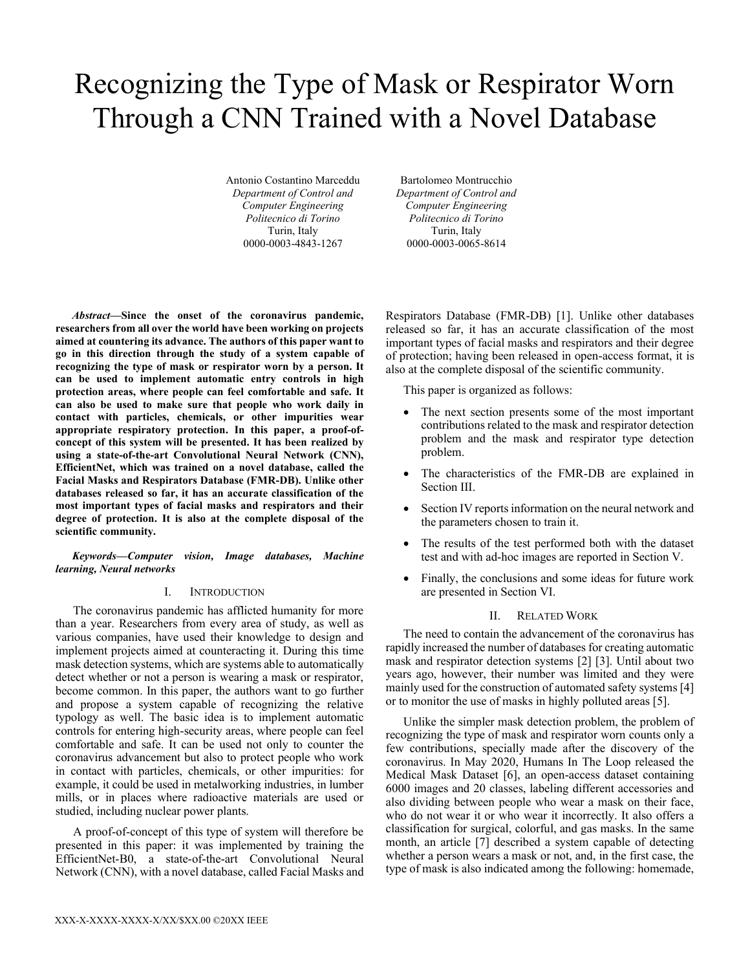# Recognizing the Type of Mask or Respirator Worn Through a CNN Trained with a Novel Database

Antonio Costantino Marceddu *Department of Control and Computer Engineering Politecnico di Torino* Turin, Italy 0000-0003-4843-1267

Bartolomeo Montrucchio *Department of Control and Computer Engineering Politecnico di Torino* Turin, Italy 0000-0003-0065-8614

*Abstract***—Since the onset of the coronavirus pandemic, researchers from all over the world have been working on projects aimed at countering its advance. The authors of this paper want to go in this direction through the study of a system capable of recognizing the type of mask or respirator worn by a person. It can be used to implement automatic entry controls in high protection areas, where people can feel comfortable and safe. It can also be used to make sure that people who work daily in contact with particles, chemicals, or other impurities wear appropriate respiratory protection. In this paper, a proof-ofconcept of this system will be presented. It has been realized by using a state-of-the-art Convolutional Neural Network (CNN), EfficientNet, which was trained on a novel database, called the Facial Masks and Respirators Database (FMR-DB). Unlike other databases released so far, it has an accurate classification of the most important types of facial masks and respirators and their degree of protection. It is also at the complete disposal of the scientific community.**

# *Keywords—Computer vision, Image databases, Machine learning, Neural networks*

# I. INTRODUCTION

The coronavirus pandemic has afflicted humanity for more than a year. Researchers from every area of study, as well as various companies, have used their knowledge to design and implement projects aimed at counteracting it. During this time mask detection systems, which are systems able to automatically detect whether or not a person is wearing a mask or respirator, become common. In this paper, the authors want to go further and propose a system capable of recognizing the relative typology as well. The basic idea is to implement automatic controls for entering high-security areas, where people can feel comfortable and safe. It can be used not only to counter the coronavirus advancement but also to protect people who work in contact with particles, chemicals, or other impurities: for example, it could be used in metalworking industries, in lumber mills, or in places where radioactive materials are used or studied, including nuclear power plants.

A proof-of-concept of this type of system will therefore be presented in this paper: it was implemented by training the EfficientNet-B0, a state-of-the-art Convolutional Neural Network (CNN), with a novel database, called Facial Masks and Respirators Database (FMR-DB) [1]. Unlike other databases released so far, it has an accurate classification of the most important types of facial masks and respirators and their degree of protection; having been released in open-access format, it is also at the complete disposal of the scientific community.

This paper is organized as follows:

- The next section presents some of the most important contributions related to the mask and respirator detection problem and the mask and respirator type detection problem.
- The characteristics of the FMR-DB are explained in Section III.
- Section IV reports information on the neural network and the parameters chosen to train it.
- The results of the test performed both with the dataset test and with ad-hoc images are reported in Section V.
- Finally, the conclusions and some ideas for future work are presented in Section VI.

# II. RELATED WORK

The need to contain the advancement of the coronavirus has rapidly increased the number of databases for creating automatic mask and respirator detection systems [2] [3]. Until about two years ago, however, their number was limited and they were mainly used for the construction of automated safety systems [4] or to monitor the use of masks in highly polluted areas [5].

Unlike the simpler mask detection problem, the problem of recognizing the type of mask and respirator worn counts only a few contributions, specially made after the discovery of the coronavirus. In May 2020, Humans In The Loop released the Medical Mask Dataset [6], an open-access dataset containing 6000 images and 20 classes, labeling different accessories and also dividing between people who wear a mask on their face, who do not wear it or who wear it incorrectly. It also offers a classification for surgical, colorful, and gas masks. In the same month, an article [7] described a system capable of detecting whether a person wears a mask or not, and, in the first case, the type of mask is also indicated among the following: homemade,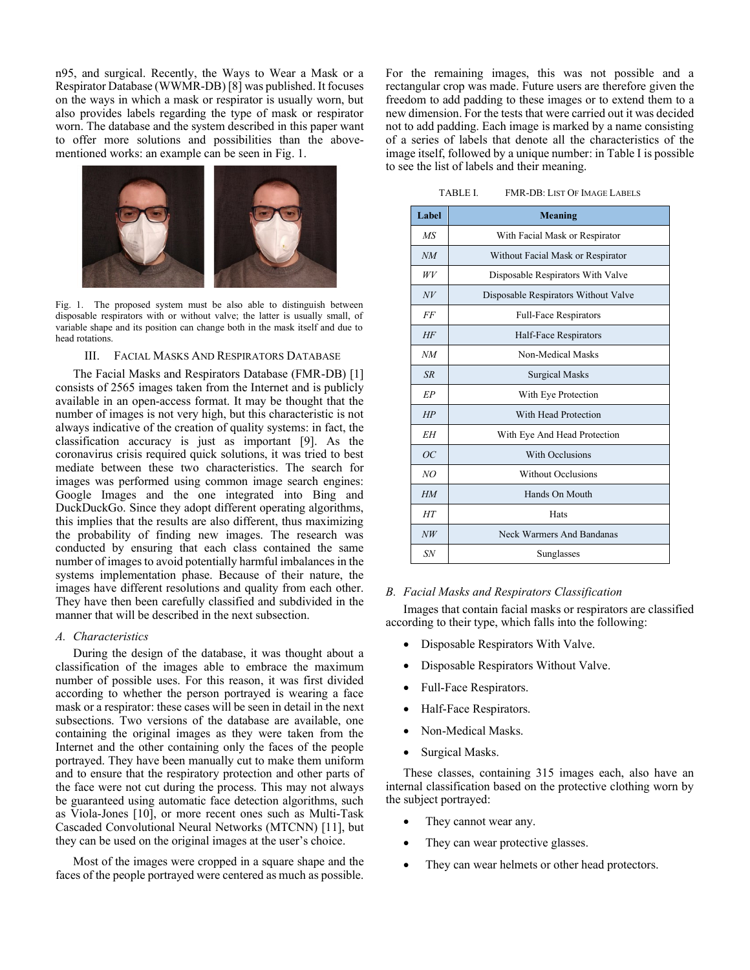n95, and surgical. Recently, the Ways to Wear a Mask or a Respirator Database (WWMR-DB) [8] was published. It focuses on the ways in which a mask or respirator is usually worn, but also provides labels regarding the type of mask or respirator worn. The database and the system described in this paper want to offer more solutions and possibilities than the abovementioned works: an example can be seen in Fig. 1.



Fig. 1. The proposed system must be also able to distinguish between disposable respirators with or without valve; the latter is usually small, of variable shape and its position can change both in the mask itself and due to head rotations.

# III. FACIAL MASKS AND RESPIRATORS DATABASE

The Facial Masks and Respirators Database (FMR-DB) [1] consists of 2565 images taken from the Internet and is publicly available in an open-access format. It may be thought that the number of images is not very high, but this characteristic is not always indicative of the creation of quality systems: in fact, the classification accuracy is just as important [9]. As the coronavirus crisis required quick solutions, it was tried to best mediate between these two characteristics. The search for images was performed using common image search engines: Google Images and the one integrated into Bing and DuckDuckGo. Since they adopt different operating algorithms, this implies that the results are also different, thus maximizing the probability of finding new images. The research was conducted by ensuring that each class contained the same number of images to avoid potentially harmful imbalances in the systems implementation phase. Because of their nature, the images have different resolutions and quality from each other. They have then been carefully classified and subdivided in the manner that will be described in the next subsection.

#### *A. Characteristics*

During the design of the database, it was thought about a classification of the images able to embrace the maximum number of possible uses. For this reason, it was first divided according to whether the person portrayed is wearing a face mask or a respirator: these cases will be seen in detail in the next subsections. Two versions of the database are available, one containing the original images as they were taken from the Internet and the other containing only the faces of the people portrayed. They have been manually cut to make them uniform and to ensure that the respiratory protection and other parts of the face were not cut during the process. This may not always be guaranteed using automatic face detection algorithms, such as Viola-Jones [10], or more recent ones such as Multi-Task Cascaded Convolutional Neural Networks (MTCNN) [11], but they can be used on the original images at the user's choice.

Most of the images were cropped in a square shape and the faces of the people portrayed were centered as much as possible.

For the remaining images, this was not possible and a rectangular crop was made. Future users are therefore given the freedom to add padding to these images or to extend them to a new dimension. For the tests that were carried out it was decided not to add padding. Each image is marked by a name consisting of a series of labels that denote all the characteristics of the image itself, followed by a unique number: in Table I is possible to see the list of labels and their meaning.

| TABLE I. |  | <b>FMR-DB: LIST OF IMAGE LABELS</b> |
|----------|--|-------------------------------------|
|----------|--|-------------------------------------|

| Label     | Meaning                              |  |  |
|-----------|--------------------------------------|--|--|
| MS        | With Facial Mask or Respirator       |  |  |
| NM        | Without Facial Mask or Respirator    |  |  |
| WV        | Disposable Respirators With Valve    |  |  |
| N V       | Disposable Respirators Without Valve |  |  |
| FF        | <b>Full-Face Respirators</b>         |  |  |
| HF        | Half-Face Respirators                |  |  |
| NM        | Non-Medical Masks                    |  |  |
| SR        | <b>Surgical Masks</b>                |  |  |
| EP        | With Eye Protection                  |  |  |
| HP        | With Head Protection                 |  |  |
| <b>EH</b> | With Eye And Head Protection         |  |  |
| OC        | With Occlusions                      |  |  |
| NO        | <b>Without Occlusions</b>            |  |  |
| HM        | Hands On Mouth                       |  |  |
| HT        | Hats                                 |  |  |
| NW        | Neck Warmers And Bandanas            |  |  |
| SN        | Sunglasses                           |  |  |

#### *B. Facial Masks and Respirators Classification*

Images that contain facial masks or respirators are classified according to their type, which falls into the following:

- Disposable Respirators With Valve.
- Disposable Respirators Without Valve.
- Full-Face Respirators.
- Half-Face Respirators.
- Non-Medical Masks.
- Surgical Masks.

These classes, containing 315 images each, also have an internal classification based on the protective clothing worn by the subject portrayed:

- They cannot wear any.
- They can wear protective glasses.
- They can wear helmets or other head protectors.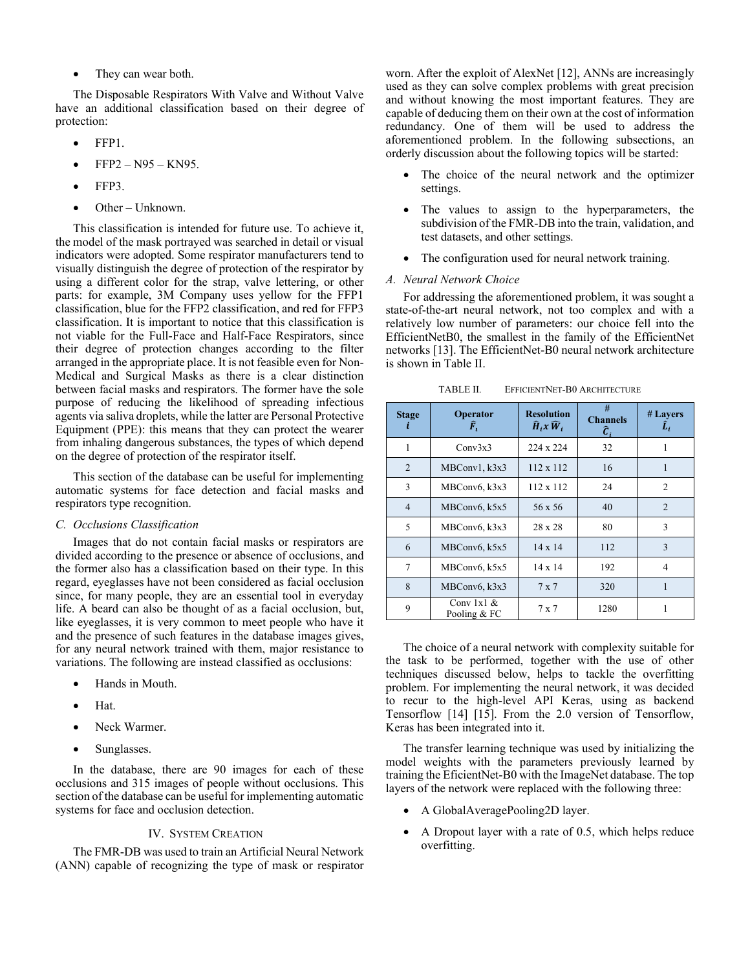• They can wear both.

The Disposable Respirators With Valve and Without Valve have an additional classification based on their degree of protection:

- FFP1.
- FFP2 N95 KN95.
- FFP3.
- Other Unknown.

This classification is intended for future use. To achieve it, the model of the mask portrayed was searched in detail or visual indicators were adopted. Some respirator manufacturers tend to visually distinguish the degree of protection of the respirator by using a different color for the strap, valve lettering, or other parts: for example, 3M Company uses yellow for the FFP1 classification, blue for the FFP2 classification, and red for FFP3 classification. It is important to notice that this classification is not viable for the Full-Face and Half-Face Respirators, since their degree of protection changes according to the filter arranged in the appropriate place. It is not feasible even for Non-Medical and Surgical Masks as there is a clear distinction between facial masks and respirators. The former have the sole purpose of reducing the likelihood of spreading infectious agents via saliva droplets, while the latter are Personal Protective Equipment (PPE): this means that they can protect the wearer from inhaling dangerous substances, the types of which depend on the degree of protection of the respirator itself.

This section of the database can be useful for implementing automatic systems for face detection and facial masks and respirators type recognition.

# *C. Occlusions Classification*

Images that do not contain facial masks or respirators are divided according to the presence or absence of occlusions, and the former also has a classification based on their type. In this regard, eyeglasses have not been considered as facial occlusion since, for many people, they are an essential tool in everyday life. A beard can also be thought of as a facial occlusion, but, like eyeglasses, it is very common to meet people who have it and the presence of such features in the database images gives, for any neural network trained with them, major resistance to variations. The following are instead classified as occlusions:

- Hands in Mouth.
- Hat.
- Neck Warmer.
- Sunglasses.

In the database, there are 90 images for each of these occlusions and 315 images of people without occlusions. This section of the database can be useful for implementing automatic systems for face and occlusion detection.

#### IV. SYSTEM CREATION

The FMR-DB was used to train an Artificial Neural Network (ANN) capable of recognizing the type of mask or respirator worn. After the exploit of AlexNet [12], ANNs are increasingly used as they can solve complex problems with great precision and without knowing the most important features. They are capable of deducing them on their own at the cost of information redundancy. One of them will be used to address the aforementioned problem. In the following subsections, an orderly discussion about the following topics will be started:

- The choice of the neural network and the optimizer settings.
- The values to assign to the hyperparameters, the subdivision of the FMR-DB into the train, validation, and test datasets, and other settings.
- The configuration used for neural network training.

#### *A. Neural Network Choice*

For addressing the aforementioned problem, it was sought a state-of-the-art neural network, not too complex and with a relatively low number of parameters: our choice fell into the EfficientNetB0, the smallest in the family of the EfficientNet networks [13]. The EfficientNet-B0 neural network architecture is shown in Table II.

| <b>Stage</b>   | <b>Operator</b><br>F,        | <b>Resolution</b><br>$\widehat{H}_i x \widehat{W}_i$ | #<br><b>Channels</b><br>Ĉ, | # Layers<br>Î, |
|----------------|------------------------------|------------------------------------------------------|----------------------------|----------------|
| 1              | Conv3x3                      | 224 x 224                                            | 32                         |                |
| $\overline{2}$ | MBConv1, k3x3                | $112 \times 112$                                     | 16                         | 1              |
| 3              | MBConv6, k3x3                | $112 \times 112$                                     | 24                         | 2              |
| $\overline{4}$ | MBConv6, k5x5                | $56 \times 56$                                       | 40                         | $\overline{2}$ |
| 5              | MBConv6, k3x3                | $28 \times 28$                                       | 80                         | 3              |
| 6              | MBConv6, k5x5                | $14 \times 14$                                       | 112                        | 3              |
| 7              | MBConv6, k5x5                | $14 \times 14$                                       | 192                        | 4              |
| 8              | MBConv6, k3x3                | $7 \times 7$                                         | 320                        |                |
| 9              | Conv $1x1 &$<br>Pooling & FC | 7 x 7                                                | 1280                       |                |

TABLE II. EFFICIENTNET-B0 ARCHITECTURE

The choice of a neural network with complexity suitable for the task to be performed, together with the use of other techniques discussed below, helps to tackle the overfitting problem. For implementing the neural network, it was decided to recur to the high-level API Keras, using as backend Tensorflow [14] [15]. From the 2.0 version of Tensorflow, Keras has been integrated into it.

The transfer learning technique was used by initializing the model weights with the parameters previously learned by training the EficientNet-B0 with the ImageNet database. The top layers of the network were replaced with the following three:

- A GlobalAveragePooling2D layer.
- A Dropout layer with a rate of 0.5, which helps reduce overfitting.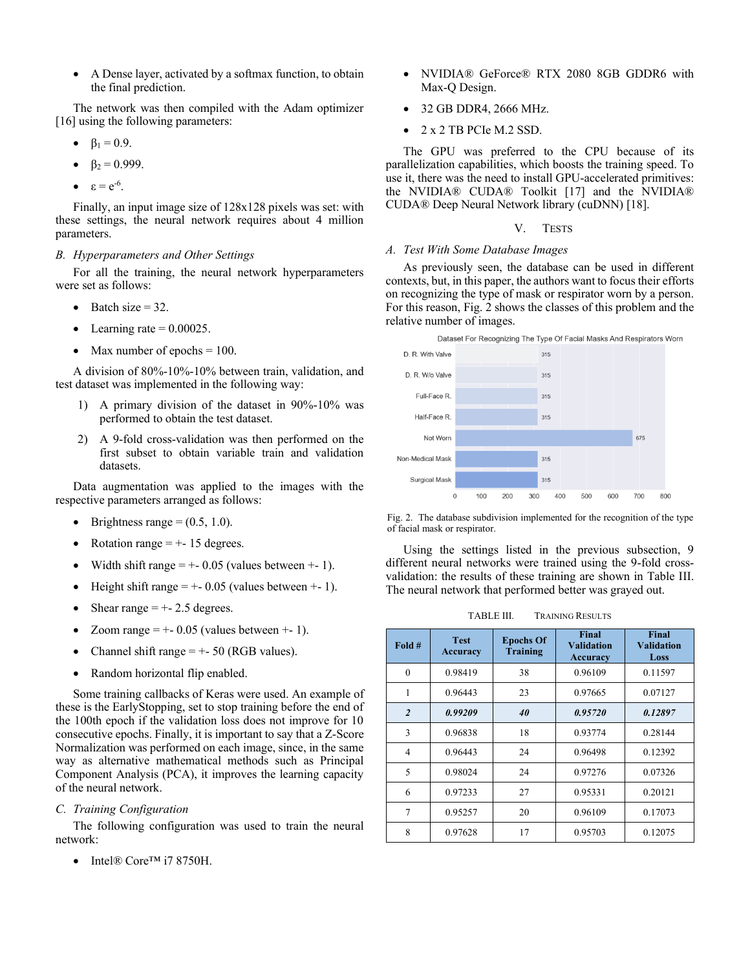• A Dense layer, activated by a softmax function, to obtain the final prediction.

The network was then compiled with the Adam optimizer [16] using the following parameters:

- $β<sub>1</sub> = 0.9.$
- $β<sub>2</sub> = 0.999.$
- $\epsilon = e^{-6}$ .

Finally, an input image size of 128x128 pixels was set: with these settings, the neural network requires about 4 million parameters.

# *B. Hyperparameters and Other Settings*

For all the training, the neural network hyperparameters were set as follows:

- Batch size  $= 32$ .
- Learning rate  $= 0.00025$ .
- Max number of epochs  $= 100$ .

A division of 80%-10%-10% between train, validation, and test dataset was implemented in the following way:

- 1) A primary division of the dataset in 90%-10% was performed to obtain the test dataset.
- 2) A 9-fold cross-validation was then performed on the first subset to obtain variable train and validation datasets.

Data augmentation was applied to the images with the respective parameters arranged as follows:

- Brightness range  $=(0.5, 1.0)$ .
- Rotation range  $= + 15$  degrees.
- Width shift range  $= +-0.05$  (values between  $+ -1$ ).
- Height shift range  $= +-0.05$  (values between  $+ 1$ ).
- Shear range  $= +-2.5$  degrees.
- Zoom range  $= +-0.05$  (values between  $+ 1$ ).
- Channel shift range  $= +50$  (RGB values).
- Random horizontal flip enabled.

Some training callbacks of Keras were used. An example of these is the EarlyStopping, set to stop training before the end of the 100th epoch if the validation loss does not improve for 10 consecutive epochs. Finally, it is important to say that a Z-Score Normalization was performed on each image, since, in the same way as alternative mathematical methods such as Principal Component Analysis (PCA), it improves the learning capacity of the neural network.

# *C. Training Configuration*

The following configuration was used to train the neural network:

• Intel® Core™ i7 8750H.

- NVIDIA® GeForce® RTX 2080 8GB GDDR6 with Max-Q Design.
- 32 GB DDR4, 2666 MHz.
- 2 x 2 TB PCIe M.2 SSD.

The GPU was preferred to the CPU because of its parallelization capabilities, which boosts the training speed. To use it, there was the need to install GPU-accelerated primitives: the NVIDIA® CUDA® Toolkit [17] and the NVIDIA® CUDA® Deep Neural Network library (cuDNN) [18].

#### V. TESTS

#### *A. Test With Some Database Images*

As previously seen, the database can be used in different contexts, but, in this paper, the authors want to focus their efforts on recognizing the type of mask or respirator worn by a person. For this reason, Fig. 2 shows the classes of this problem and the relative number of images.





Fig. 2. The database subdivision implemented for the recognition of the type of facial mask or respirator.

Using the settings listed in the previous subsection, 9 different neural networks were trained using the 9-fold crossvalidation: the results of these training are shown in Table III. The neural network that performed better was grayed out.

TABLE III. TRAINING RESULTS

| Fold #         | <b>Test</b><br><b>Accuracy</b> | <b>Epochs Of</b><br><b>Training</b> | Final<br><b>Validation</b><br>Accuracy | <b>Final</b><br><b>Validation</b><br>Loss |
|----------------|--------------------------------|-------------------------------------|----------------------------------------|-------------------------------------------|
| $\theta$       | 0.98419                        | 38                                  | 0.96109                                | 0.11597                                   |
| 1              | 0.96443                        | 23                                  | 0.97665                                | 0.07127                                   |
| $\overline{c}$ | 0.99209                        | 40                                  | 0.95720                                | 0.12897                                   |
| 3              | 0.96838                        | 18                                  | 0.93774                                | 0.28144                                   |
| 4              | 0.96443                        | 24                                  | 0.96498                                | 0.12392                                   |
| 5              | 0.98024                        | 24                                  | 0.97276                                | 0.07326                                   |
| 6              | 0.97233                        | 27                                  | 0.95331                                | 0.20121                                   |
| 7              | 0.95257                        | 20                                  | 0.96109                                | 0.17073                                   |
| 8              | 0.97628                        | 17                                  | 0.95703                                | 0.12075                                   |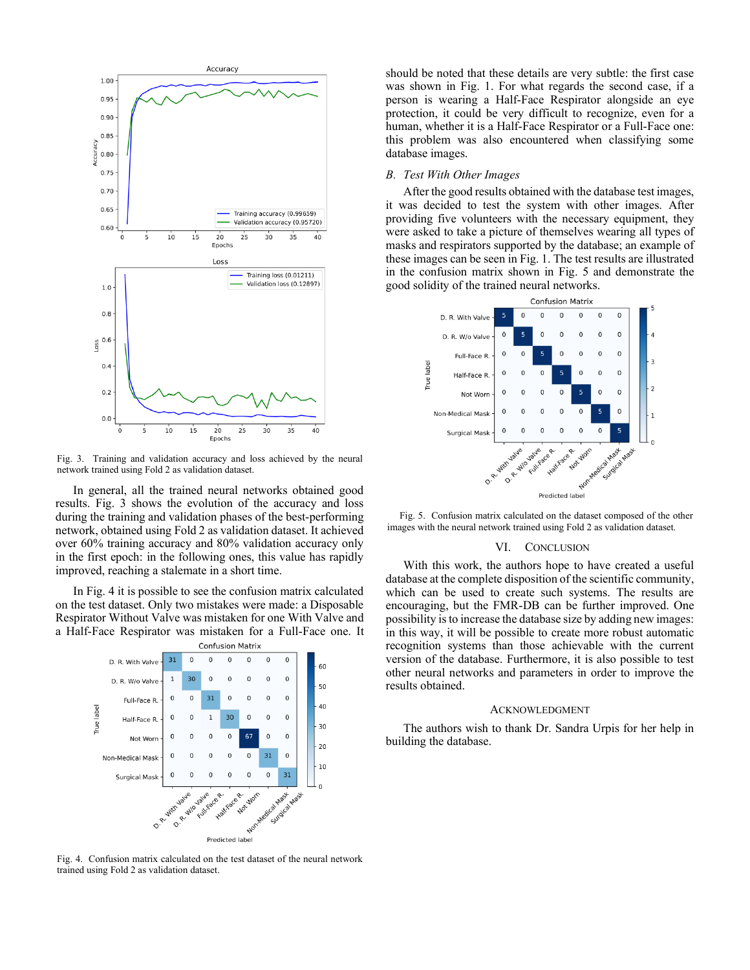

Fig. 3. Training and validation accuracy and loss achieved by the neural network trained using Fold 2 as validation dataset.

In general, all the trained neural networks obtained good results. Fig. 3 shows the evolution of the accuracy and loss during the training and validation phases of the best-performing network, obtained using Fold 2 as validation dataset. It achieved over 60% training accuracy and 80% validation accuracy only in the first epoch: in the following ones, this value has rapidly improved, reaching a stalemate in a short time.

In Fig. 4 it is possible to see the confusion matrix calculated on the test dataset. Only two mistakes were made: a Disposable Respirator Without Valve was mistaken for one With Valve and a Half-Face Respirator was mistaken for a Full-Face one. It



Fig. 4. Confusion matrix calculated on the test dataset of the neural network trained using Fold 2 as validation dataset.

should be noted that these details are very subtle: the first case was shown in Fig. 1. For what regards the second case, if a person is wearing a Half-Face Respirator alongside an eye protection, it could be very difficult to recognize, even for a human, whether it is a Half-Face Respirator or a Full-Face one: this problem was also encountered when classifying some database images.

## *B. Test With Other Images*

After the good results obtained with the database test images, it was decided to test the system with other images. After providing five volunteers with the necessary equipment, they were asked to take a picture of themselves wearing all types of masks and respirators supported by the database; an example of these images can be seen in Fig. 1. The test results are illustrated in the confusion matrix shown in Fig. 5 and demonstrate the good solidity of the trained neural networks.



Fig. 5. Confusion matrix calculated on the dataset composed of the other images with the neural network trained using Fold 2 as validation dataset.

# VI. CONCLUSION

With this work, the authors hope to have created a useful database at the complete disposition of the scientific community, which can be used to create such systems. The results are encouraging, but the FMR-DB can be further improved. One possibility is to increase the database size by adding new images: in this way, it will be possible to create more robust automatic recognition systems than those achievable with the current version of the database. Furthermore, it is also possible to test other neural networks and parameters in order to improve the results obtained.

#### ACKNOWLEDGMENT

The authors wish to thank Dr. Sandra Urpis for her help in building the database.